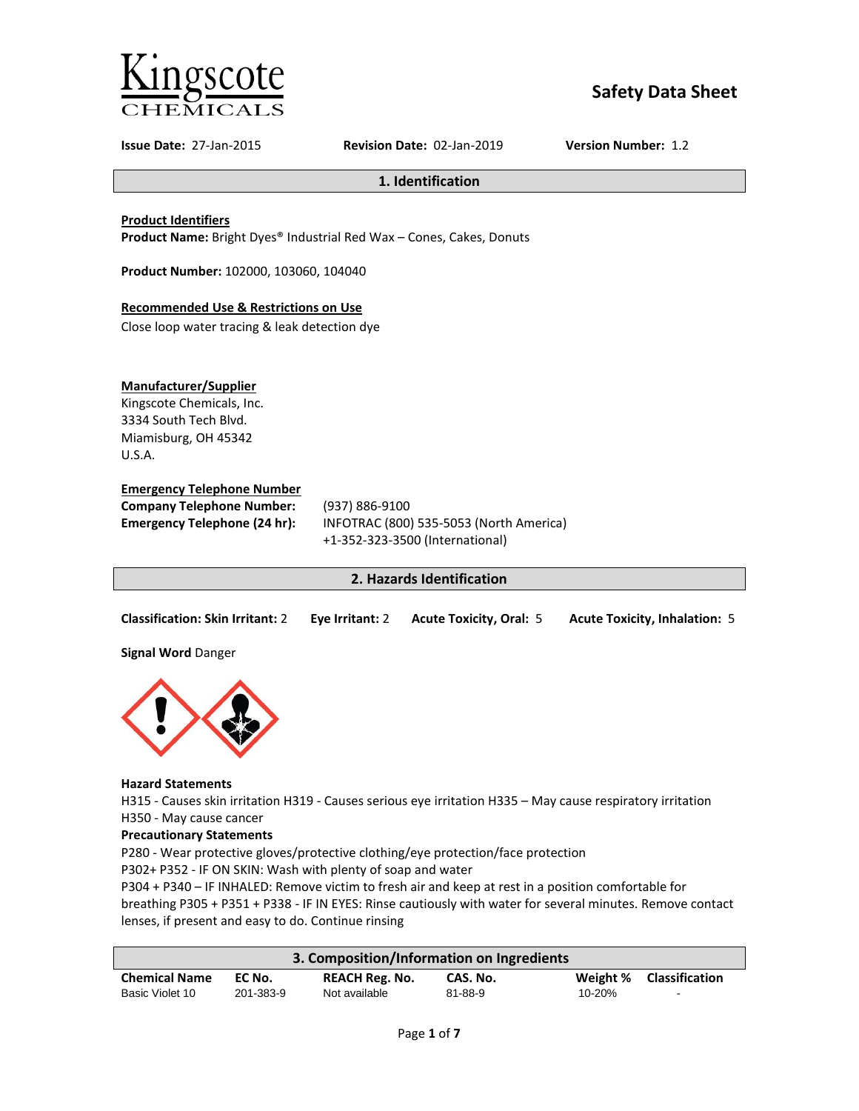

# **Safety Data Sheet**

**Issue Date:** 27-Jan-2015 **Revision Date:** 02-Jan-2019 **Version Number:** 1.2

#### **1. Identification**

#### **Product Identifiers**

**Product Name:** Bright Dyes® Industrial Red Wax – Cones, Cakes, Donuts

**Product Number:** 102000, 103060, 104040

# **Recommended Use & Restrictions on Use**

Close loop water tracing & leak detection dye

# **Manufacturer/Supplier**

Kingscote Chemicals, Inc. 3334 South Tech Blvd. Miamisburg, OH 45342 U.S.A.

# **Emergency Telephone Number**

| <b>Company Telephone Number:</b> | (937) 886-9100                          |
|----------------------------------|-----------------------------------------|
| Emergency Telephone (24 hr):     | INFOTRAC (800) 535-5053 (North America) |
|                                  | +1-352-323-3500 (International)         |

# **2. Hazards Identification**

| <b>Classification: Skin Irritant: 2</b> | Eye Irritant: 2 | <b>Acute Toxicity, Oral: 5</b> | <b>Acute Toxicity, Inhalation: 5</b> |
|-----------------------------------------|-----------------|--------------------------------|--------------------------------------|
|                                         |                 |                                |                                      |

**Signal Word** Danger



#### **Hazard Statements**

H315 - Causes skin irritation H319 - Causes serious eye irritation H335 – May cause respiratory irritation H350 - May cause cancer

#### **Precautionary Statements**

P280 - Wear protective gloves/protective clothing/eye protection/face protection

P302+ P352 - IF ON SKIN: Wash with plenty of soap and water

P304 + P340 – IF INHALED: Remove victim to fresh air and keep at rest in a position comfortable for breathing P305 + P351 + P338 - IF IN EYES: Rinse cautiously with water for several minutes. Remove contact lenses, if present and easy to do. Continue rinsing

| 3. Composition/Information on Ingredients |           |                       |          |        |                         |
|-------------------------------------------|-----------|-----------------------|----------|--------|-------------------------|
| <b>Chemical Name</b>                      | EC No.    | <b>REACH Reg. No.</b> | CAS. No. |        | Weight % Classification |
| Basic Violet 10                           | 201-383-9 | Not available         | 81-88-9  | 10-20% | $\sim$                  |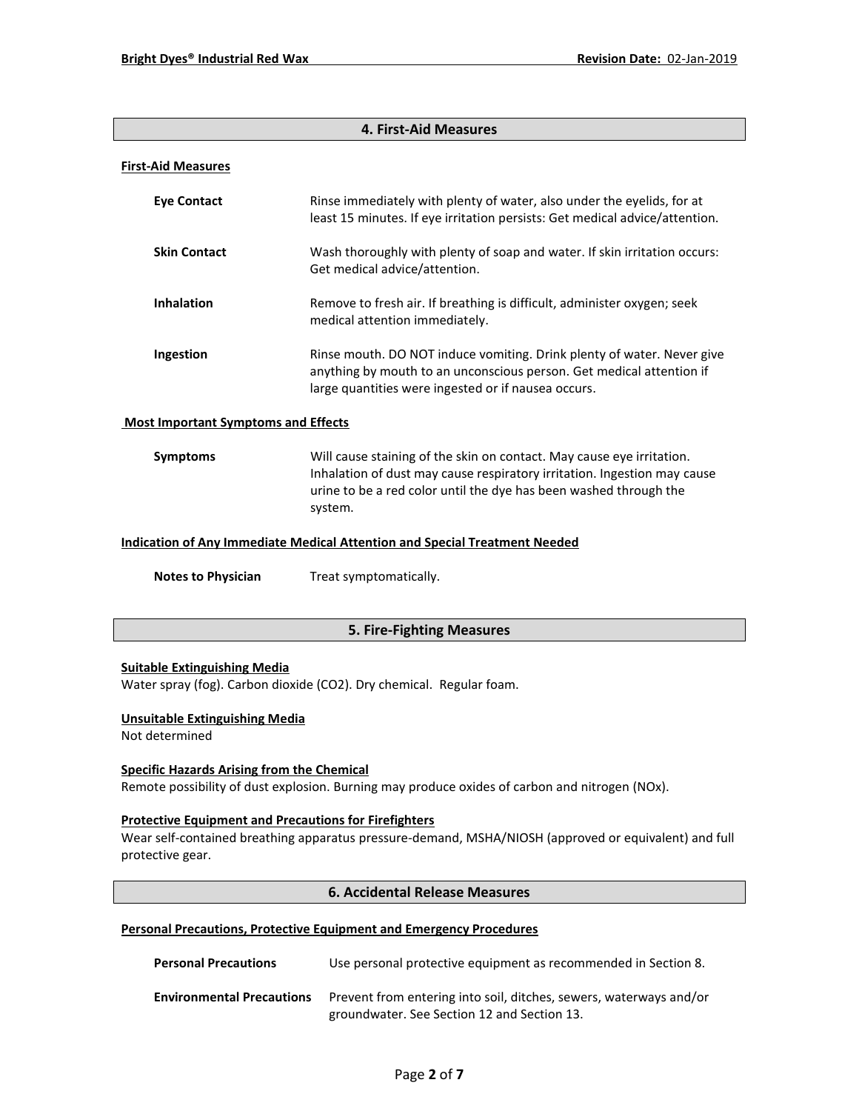# **4. First-Aid Measures**

#### **First-Aid Measures**

| <b>Eye Contact</b>                         | Rinse immediately with plenty of water, also under the eyelids, for at<br>least 15 minutes. If eye irritation persists: Get medical advice/attention.                                                 |
|--------------------------------------------|-------------------------------------------------------------------------------------------------------------------------------------------------------------------------------------------------------|
| <b>Skin Contact</b>                        | Wash thoroughly with plenty of soap and water. If skin irritation occurs:<br>Get medical advice/attention.                                                                                            |
| <b>Inhalation</b>                          | Remove to fresh air. If breathing is difficult, administer oxygen; seek<br>medical attention immediately.                                                                                             |
| Ingestion                                  | Rinse mouth. DO NOT induce vomiting. Drink plenty of water. Never give<br>anything by mouth to an unconscious person. Get medical attention if<br>large quantities were ingested or if nausea occurs. |
| <b>Most Important Symptoms and Effects</b> |                                                                                                                                                                                                       |
| <b>Symptoms</b>                            | Will cause staining of the skin on contact. May cause eye irritation.                                                                                                                                 |

Inhalation of dust may cause respiratory irritation. Ingestion may cause urine to be a red color until the dye has been washed through the system.

# **Indication of Any Immediate Medical Attention and Special Treatment Needed**

**Notes to Physician** Treat symptomatically.

# **5. Fire-Fighting Measures**

#### **Suitable Extinguishing Media**

Water spray (fog). Carbon dioxide (CO2). Dry chemical. Regular foam.

#### **Unsuitable Extinguishing Media**

Not determined

#### **Specific Hazards Arising from the Chemical**

Remote possibility of dust explosion. Burning may produce oxides of carbon and nitrogen (NOx).

#### **Protective Equipment and Precautions for Firefighters**

Wear self-contained breathing apparatus pressure-demand, MSHA/NIOSH (approved or equivalent) and full protective gear.

# **6. Accidental Release Measures**

#### **Personal Precautions, Protective Equipment and Emergency Procedures**

| <b>Personal Precautions</b>      | Use personal protective equipment as recommended in Section 8.                                                    |
|----------------------------------|-------------------------------------------------------------------------------------------------------------------|
| <b>Environmental Precautions</b> | Prevent from entering into soil, ditches, sewers, waterways and/or<br>groundwater. See Section 12 and Section 13. |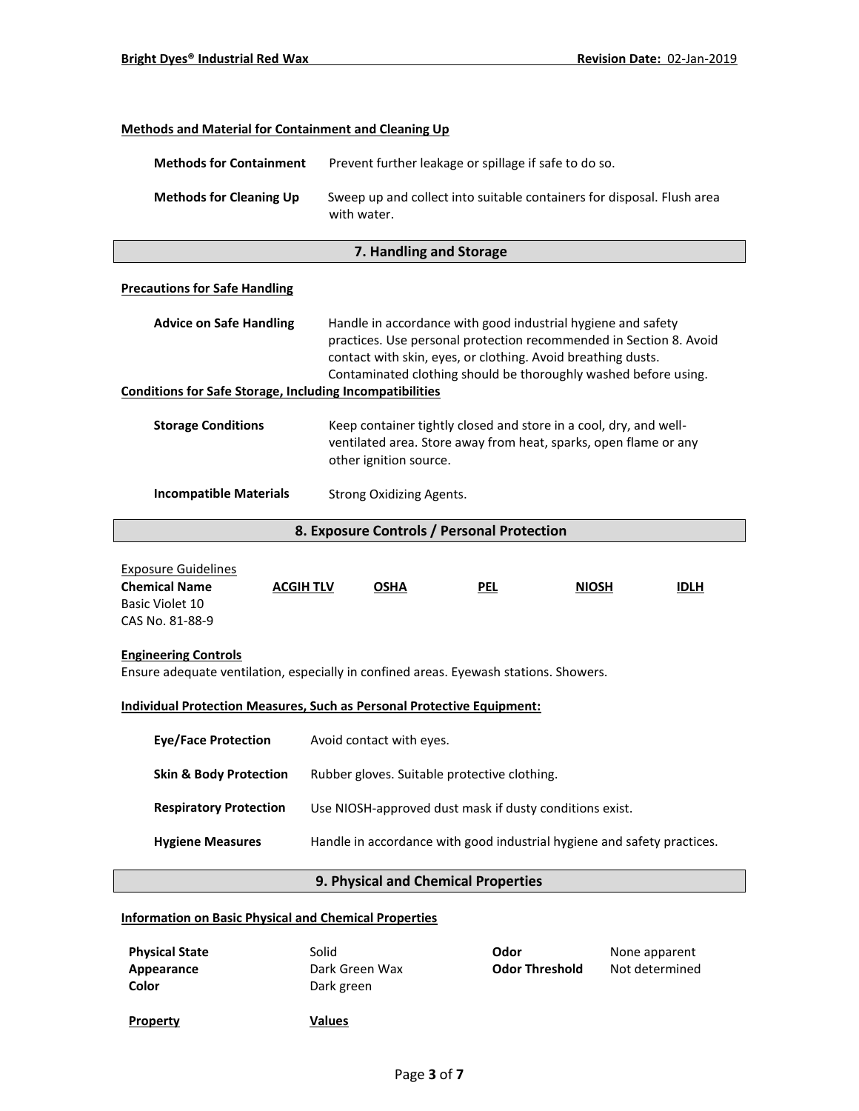| <b>Methods and Material for Containment and Cleaning Up</b>                                                          |                                                                                                                                                                                                                                                                                                                                          |                                                                        |              |             |  |
|----------------------------------------------------------------------------------------------------------------------|------------------------------------------------------------------------------------------------------------------------------------------------------------------------------------------------------------------------------------------------------------------------------------------------------------------------------------------|------------------------------------------------------------------------|--------------|-------------|--|
| <b>Methods for Containment</b>                                                                                       | Prevent further leakage or spillage if safe to do so.                                                                                                                                                                                                                                                                                    |                                                                        |              |             |  |
| <b>Methods for Cleaning Up</b>                                                                                       | with water.                                                                                                                                                                                                                                                                                                                              | Sweep up and collect into suitable containers for disposal. Flush area |              |             |  |
|                                                                                                                      | 7. Handling and Storage                                                                                                                                                                                                                                                                                                                  |                                                                        |              |             |  |
| <b>Precautions for Safe Handling</b>                                                                                 |                                                                                                                                                                                                                                                                                                                                          |                                                                        |              |             |  |
| <b>Advice on Safe Handling</b>                                                                                       | Handle in accordance with good industrial hygiene and safety<br>practices. Use personal protection recommended in Section 8. Avoid<br>contact with skin, eyes, or clothing. Avoid breathing dusts.<br>Contaminated clothing should be thoroughly washed before using.<br><b>Conditions for Safe Storage, Including Incompatibilities</b> |                                                                        |              |             |  |
| <b>Storage Conditions</b>                                                                                            | Keep container tightly closed and store in a cool, dry, and well-<br>ventilated area. Store away from heat, sparks, open flame or any<br>other ignition source.                                                                                                                                                                          |                                                                        |              |             |  |
| <b>Incompatible Materials</b>                                                                                        | Strong Oxidizing Agents.                                                                                                                                                                                                                                                                                                                 |                                                                        |              |             |  |
|                                                                                                                      | 8. Exposure Controls / Personal Protection                                                                                                                                                                                                                                                                                               |                                                                        |              |             |  |
| <b>Exposure Guidelines</b><br><b>Chemical Name</b><br><b>ACGIH TLV</b><br><b>Basic Violet 10</b><br>CAS No. 81-88-9  | <b>OSHA</b>                                                                                                                                                                                                                                                                                                                              | <b>PEL</b>                                                             | <b>NIOSH</b> | <b>IDLH</b> |  |
| <b>Engineering Controls</b><br>Ensure adequate ventilation, especially in confined areas. Eyewash stations. Showers. |                                                                                                                                                                                                                                                                                                                                          |                                                                        |              |             |  |
| Individual Protection Measures, Such as Personal Protective Equipment:                                               |                                                                                                                                                                                                                                                                                                                                          |                                                                        |              |             |  |
| <b>Eye/Face Protection</b>                                                                                           | Avoid contact with eyes.                                                                                                                                                                                                                                                                                                                 |                                                                        |              |             |  |
| <b>Skin &amp; Body Protection</b>                                                                                    | Rubber gloves. Suitable protective clothing.                                                                                                                                                                                                                                                                                             |                                                                        |              |             |  |
| <b>Respiratory Protection</b>                                                                                        | Use NIOSH-approved dust mask if dusty conditions exist.                                                                                                                                                                                                                                                                                  |                                                                        |              |             |  |
| <b>Hygiene Measures</b>                                                                                              | Handle in accordance with good industrial hygiene and safety practices.                                                                                                                                                                                                                                                                  |                                                                        |              |             |  |
| 9. Physical and Chemical Properties                                                                                  |                                                                                                                                                                                                                                                                                                                                          |                                                                        |              |             |  |
|                                                                                                                      |                                                                                                                                                                                                                                                                                                                                          |                                                                        |              |             |  |

# **Information on Basic Physical and Chemical Properties**

| <b>Physical State</b><br>Appearance<br>Color | Solid<br>Dark Green Wax<br>Dark green | Odor<br><b>Odor Threshold</b> | None apparent<br>Not determined |
|----------------------------------------------|---------------------------------------|-------------------------------|---------------------------------|
| <b>Property</b>                              | <b>Values</b>                         |                               |                                 |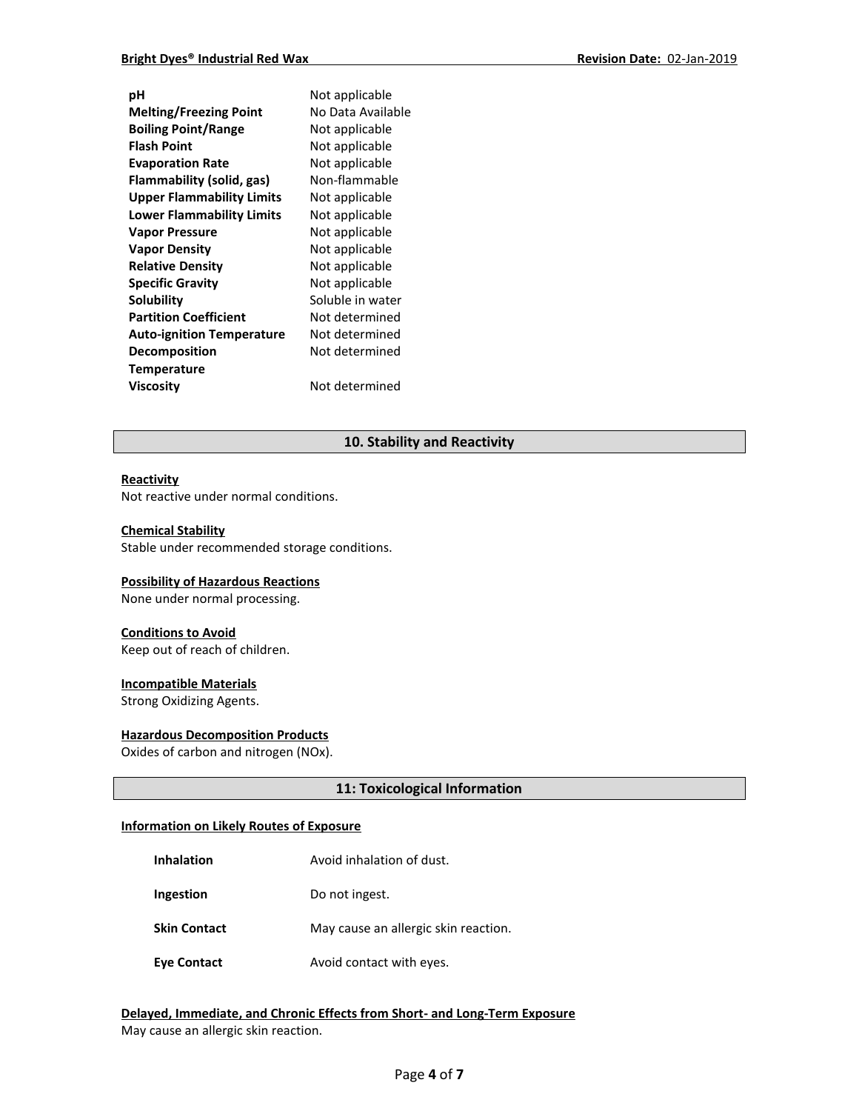| рH                               | Not applicable    |
|----------------------------------|-------------------|
| <b>Melting/Freezing Point</b>    | No Data Available |
| <b>Boiling Point/Range</b>       | Not applicable    |
| <b>Flash Point</b>               | Not applicable    |
| <b>Evaporation Rate</b>          | Not applicable    |
| Flammability (solid, gas)        | Non-flammable     |
| <b>Upper Flammability Limits</b> | Not applicable    |
| <b>Lower Flammability Limits</b> | Not applicable    |
| <b>Vapor Pressure</b>            | Not applicable    |
| <b>Vapor Density</b>             | Not applicable    |
| <b>Relative Density</b>          | Not applicable    |
| <b>Specific Gravity</b>          | Not applicable    |
| Solubility                       | Soluble in water  |
| <b>Partition Coefficient</b>     | Not determined    |
| <b>Auto-ignition Temperature</b> | Not determined    |
| <b>Decomposition</b>             | Not determined    |
| Temperature                      |                   |
| Viscosity                        | Not determined    |
|                                  |                   |

# **10. Stability and Reactivity**

#### **Reactivity**

Not reactive under normal conditions.

### **Chemical Stability**

Stable under recommended storage conditions.

#### **Possibility of Hazardous Reactions**

None under normal processing.

#### **Conditions to Avoid**

Keep out of reach of children.

#### **Incompatible Materials**

Strong Oxidizing Agents.

#### **Hazardous Decomposition Products**

Oxides of carbon and nitrogen (NOx).

#### **11: Toxicological Information**

#### **Information on Likely Routes of Exposure**

- **Inhalation Avoid inhalation of dust.**
- **Ingestion** Do not ingest.
- **Skin Contact** May cause an allergic skin reaction.
- **Eye Contact Avoid contact with eyes.**

# **Delayed, Immediate, and Chronic Effects from Short- and Long-Term Exposure** May cause an allergic skin reaction.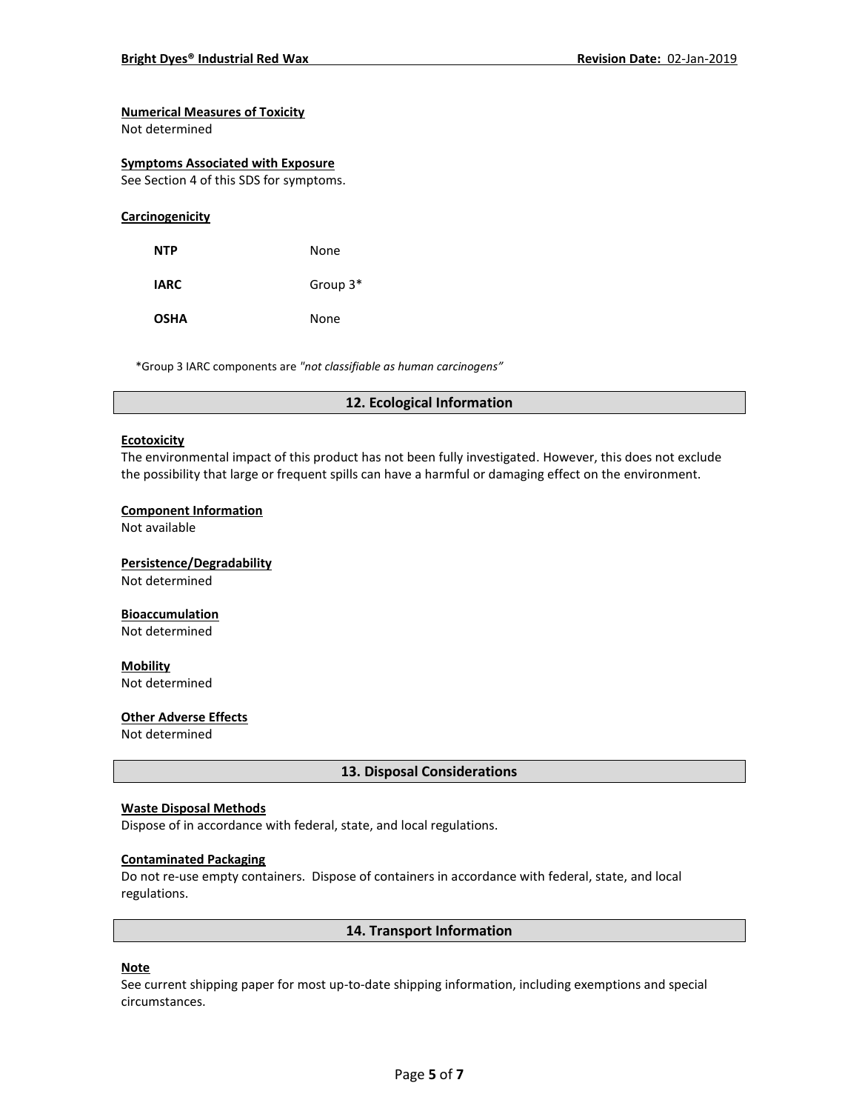# **Numerical Measures of Toxicity**

Not determined

#### **Symptoms Associated with Exposure**

See Section 4 of this SDS for symptoms.

#### **Carcinogenicity**

| NTP         | None       |
|-------------|------------|
| <b>IARC</b> | Group $3*$ |
| <b>OSHA</b> | None       |

\*Group 3 IARC components are *"not classifiable as human carcinogens"*

#### **12. Ecological Information**

#### **Ecotoxicity**

The environmental impact of this product has not been fully investigated. However, this does not exclude the possibility that large or frequent spills can have a harmful or damaging effect on the environment.

#### **Component Information**

Not available

# **Persistence/Degradability** Not determined

#### **Bioaccumulation**

Not determined

**Mobility** Not determined

#### **Other Adverse Effects**

Not determined

#### **13. Disposal Considerations**

#### **Waste Disposal Methods**

Dispose of in accordance with federal, state, and local regulations.

#### **Contaminated Packaging**

Do not re-use empty containers.Dispose of containers in accordance with federal, state, and local regulations.

#### **14. Transport Information**

# **Note**

See current shipping paper for most up-to-date shipping information, including exemptions and special circumstances.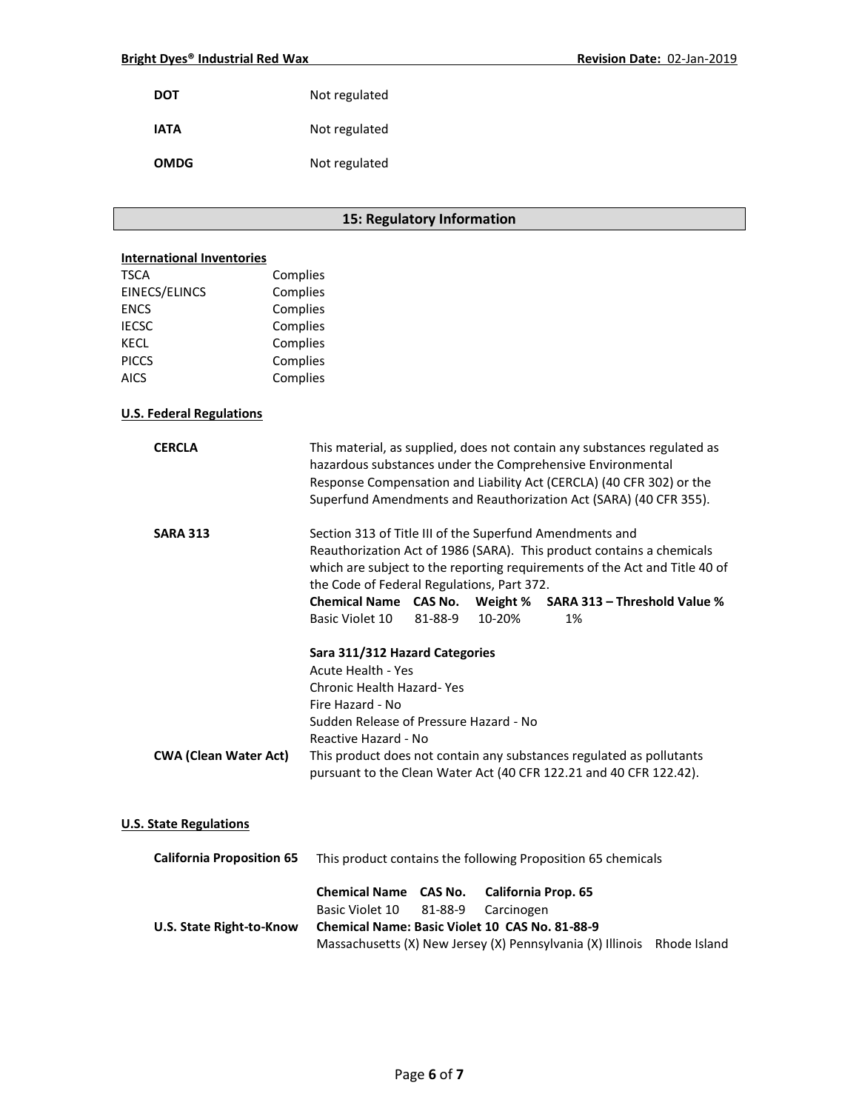| DOT  | Not regulated |
|------|---------------|
| IATA | Not regulated |
| OMDG | Not regulated |

# **15: Regulatory Information**

# **International Inventories**

| <b>TSCA</b>          | Complies |
|----------------------|----------|
| <b>EINECS/ELINCS</b> | Complies |
| <b>ENCS</b>          | Complies |
| <b>IECSC</b>         | Complies |
| <b>KECL</b>          | Complies |
| <b>PICCS</b>         | Complies |
| <b>AICS</b>          | Complies |
|                      |          |

# **U.S. Federal Regulations**

| <b>CERCLA</b>                    | This material, as supplied, does not contain any substances regulated as<br>hazardous substances under the Comprehensive Environmental<br>Response Compensation and Liability Act (CERCLA) (40 CFR 302) or the<br>Superfund Amendments and Reauthorization Act (SARA) (40 CFR 355).                                          |         |        |                                                              |  |
|----------------------------------|------------------------------------------------------------------------------------------------------------------------------------------------------------------------------------------------------------------------------------------------------------------------------------------------------------------------------|---------|--------|--------------------------------------------------------------|--|
| <b>SARA 313</b>                  | Section 313 of Title III of the Superfund Amendments and<br>Reauthorization Act of 1986 (SARA). This product contains a chemicals<br>which are subject to the reporting requirements of the Act and Title 40 of<br>the Code of Federal Regulations, Part 372.<br>Chemical Name CAS No. Weight % SARA 313 - Threshold Value % |         |        |                                                              |  |
|                                  | Basic Violet 10<br>Sara 311/312 Hazard Categories<br><b>Acute Health - Yes</b><br>Chronic Health Hazard-Yes                                                                                                                                                                                                                  | 81-88-9 | 10-20% | 1%                                                           |  |
| <b>CWA (Clean Water Act)</b>     | Fire Hazard - No<br>Sudden Release of Pressure Hazard - No<br>Reactive Hazard - No<br>This product does not contain any substances regulated as pollutants<br>pursuant to the Clean Water Act (40 CFR 122.21 and 40 CFR 122.42).                                                                                             |         |        |                                                              |  |
| <b>U.S. State Regulations</b>    |                                                                                                                                                                                                                                                                                                                              |         |        |                                                              |  |
| <b>California Proposition 65</b> |                                                                                                                                                                                                                                                                                                                              |         |        | This product contains the following Proposition 65 chemicals |  |

# **Chemical Name CAS No. California Prop. 65** Basic Violet 10 81-88-9 Carcinogen **U.S. State Right-to-Know Chemical Name: Basic Violet 10 CAS No. 81-88-9** Massachusetts (X) New Jersey (X) Pennsylvania (X) Illinois Rhode Island